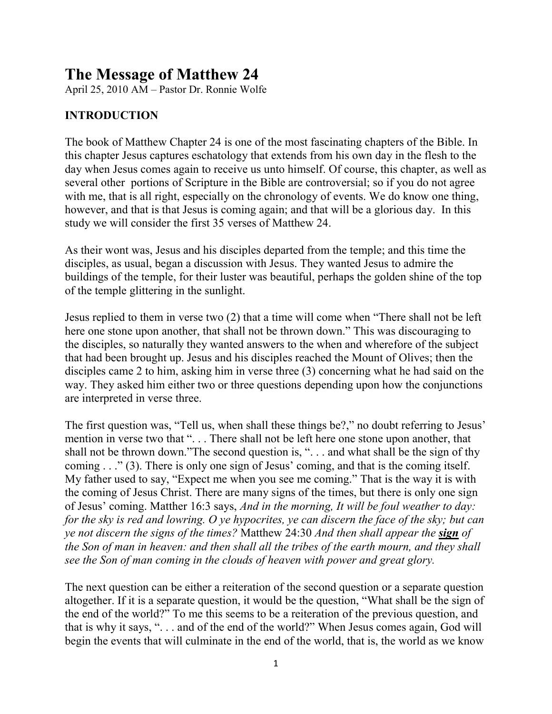# The Message of Matthew 24

April 25, 2010 AM – Pastor Dr. Ronnie Wolfe

## INTRODUCTION

The book of Matthew Chapter 24 is one of the most fascinating chapters of the Bible. In this chapter Jesus captures eschatology that extends from his own day in the flesh to the day when Jesus comes again to receive us unto himself. Of course, this chapter, as well as several other portions of Scripture in the Bible are controversial; so if you do not agree with me, that is all right, especially on the chronology of events. We do know one thing, however, and that is that Jesus is coming again; and that will be a glorious day. In this study we will consider the first 35 verses of Matthew 24.

As their wont was, Jesus and his disciples departed from the temple; and this time the disciples, as usual, began a discussion with Jesus. They wanted Jesus to admire the buildings of the temple, for their luster was beautiful, perhaps the golden shine of the top of the temple glittering in the sunlight.

Jesus replied to them in verse two (2) that a time will come when "There shall not be left here one stone upon another, that shall not be thrown down." This was discouraging to the disciples, so naturally they wanted answers to the when and wherefore of the subject that had been brought up. Jesus and his disciples reached the Mount of Olives; then the disciples came 2 to him, asking him in verse three (3) concerning what he had said on the way. They asked him either two or three questions depending upon how the conjunctions are interpreted in verse three.

The first question was, "Tell us, when shall these things be?," no doubt referring to Jesus' mention in verse two that ". . . There shall not be left here one stone upon another, that shall not be thrown down."The second question is, ". . . and what shall be the sign of thy coming . . ." (3). There is only one sign of Jesus' coming, and that is the coming itself. My father used to say, "Expect me when you see me coming." That is the way it is with the coming of Jesus Christ. There are many signs of the times, but there is only one sign of Jesus' coming. Matther 16:3 says, *And in the morning, It will be foul weather to day: for the sky is red and lowring. O ye hypocrites, ye can discern the face of the sky; but can ye not discern the signs of the times?* Matthew 24:30 *And then shall appear the sign of the Son of man in heaven: and then shall all the tribes of the earth mourn, and they shall see the Son of man coming in the clouds of heaven with power and great glory.*

The next question can be either a reiteration of the second question or a separate question altogether. If it is a separate question, it would be the question, "What shall be the sign of the end of the world?" To me this seems to be a reiteration of the previous question, and that is why it says, ". . . and of the end of the world?" When Jesus comes again, God will begin the events that will culminate in the end of the world, that is, the world as we know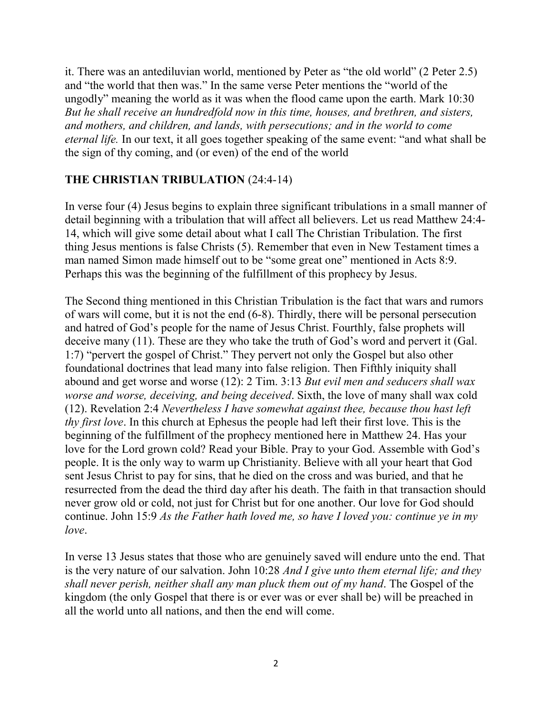it. There was an antediluvian world, mentioned by Peter as "the old world" (2 Peter 2.5) and "the world that then was." In the same verse Peter mentions the "world of the ungodly" meaning the world as it was when the flood came upon the earth. Mark 10:30 *But he shall receive an hundredfold now in this time, houses, and brethren, and sisters, and mothers, and children, and lands, with persecutions; and in the world to come eternal life.* In our text, it all goes together speaking of the same event: "and what shall be the sign of thy coming, and (or even) of the end of the world

## THE CHRISTIAN TRIBULATION (24:4-14)

In verse four (4) Jesus begins to explain three significant tribulations in a small manner of detail beginning with a tribulation that will affect all believers. Let us read Matthew 24:4- 14, which will give some detail about what I call The Christian Tribulation. The first thing Jesus mentions is false Christs (5). Remember that even in New Testament times a man named Simon made himself out to be "some great one" mentioned in Acts 8:9. Perhaps this was the beginning of the fulfillment of this prophecy by Jesus.

The Second thing mentioned in this Christian Tribulation is the fact that wars and rumors of wars will come, but it is not the end (6-8). Thirdly, there will be personal persecution and hatred of God's people for the name of Jesus Christ. Fourthly, false prophets will deceive many (11). These are they who take the truth of God's word and pervert it (Gal. 1:7) "pervert the gospel of Christ." They pervert not only the Gospel but also other foundational doctrines that lead many into false religion. Then Fifthly iniquity shall abound and get worse and worse (12): 2 Tim. 3:13 *But evil men and seducers shall wax worse and worse, deceiving, and being deceived*. Sixth, the love of many shall wax cold (12). Revelation 2:4 *Nevertheless I have somewhat against thee, because thou hast left thy first love*. In this church at Ephesus the people had left their first love. This is the beginning of the fulfillment of the prophecy mentioned here in Matthew 24. Has your love for the Lord grown cold? Read your Bible. Pray to your God. Assemble with God's people. It is the only way to warm up Christianity. Believe with all your heart that God sent Jesus Christ to pay for sins, that he died on the cross and was buried, and that he resurrected from the dead the third day after his death. The faith in that transaction should never grow old or cold, not just for Christ but for one another. Our love for God should continue. John 15:9 *As the Father hath loved me, so have I loved you: continue ye in my love*.

In verse 13 Jesus states that those who are genuinely saved will endure unto the end. That is the very nature of our salvation. John 10:28 *And I give unto them eternal life; and they shall never perish, neither shall any man pluck them out of my hand*. The Gospel of the kingdom (the only Gospel that there is or ever was or ever shall be) will be preached in all the world unto all nations, and then the end will come.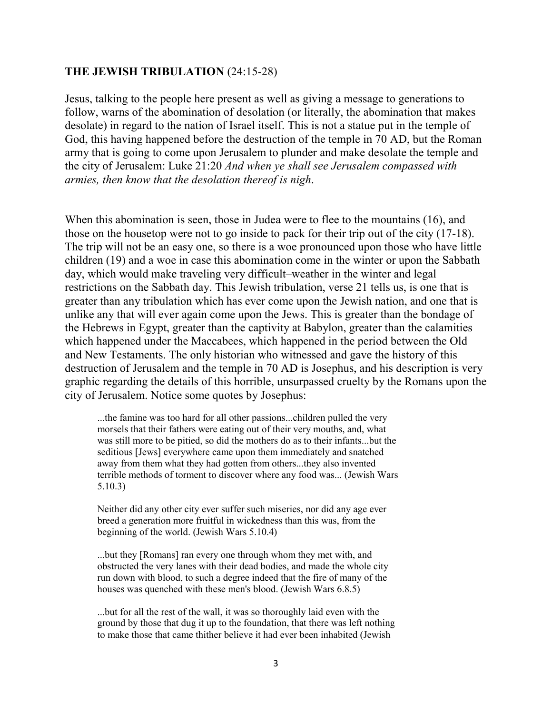#### THE JEWISH TRIBULATION (24:15-28)

Jesus, talking to the people here present as well as giving a message to generations to follow, warns of the abomination of desolation (or literally, the abomination that makes desolate) in regard to the nation of Israel itself. This is not a statue put in the temple of God, this having happened before the destruction of the temple in 70 AD, but the Roman army that is going to come upon Jerusalem to plunder and make desolate the temple and the city of Jerusalem: Luke 21:20 *And when ye shall see Jerusalem compassed with armies, then know that the desolation thereof is nigh*.

When this abomination is seen, those in Judea were to flee to the mountains (16), and those on the housetop were not to go inside to pack for their trip out of the city (17-18). The trip will not be an easy one, so there is a woe pronounced upon those who have little children (19) and a woe in case this abomination come in the winter or upon the Sabbath day, which would make traveling very difficult–weather in the winter and legal restrictions on the Sabbath day. This Jewish tribulation, verse 21 tells us, is one that is greater than any tribulation which has ever come upon the Jewish nation, and one that is unlike any that will ever again come upon the Jews. This is greater than the bondage of the Hebrews in Egypt, greater than the captivity at Babylon, greater than the calamities which happened under the Maccabees, which happened in the period between the Old and New Testaments. The only historian who witnessed and gave the history of this destruction of Jerusalem and the temple in 70 AD is Josephus, and his description is very graphic regarding the details of this horrible, unsurpassed cruelty by the Romans upon the city of Jerusalem. Notice some quotes by Josephus:

...the famine was too hard for all other passions...children pulled the very morsels that their fathers were eating out of their very mouths, and, what was still more to be pitied, so did the mothers do as to their infants...but the seditious [Jews] everywhere came upon them immediately and snatched away from them what they had gotten from others...they also invented terrible methods of torment to discover where any food was... (Jewish Wars 5.10.3)

Neither did any other city ever suffer such miseries, nor did any age ever breed a generation more fruitful in wickedness than this was, from the beginning of the world. (Jewish Wars 5.10.4)

...but they [Romans] ran every one through whom they met with, and obstructed the very lanes with their dead bodies, and made the whole city run down with blood, to such a degree indeed that the fire of many of the houses was quenched with these men's blood. (Jewish Wars 6.8.5)

...but for all the rest of the wall, it was so thoroughly laid even with the ground by those that dug it up to the foundation, that there was left nothing to make those that came thither believe it had ever been inhabited (Jewish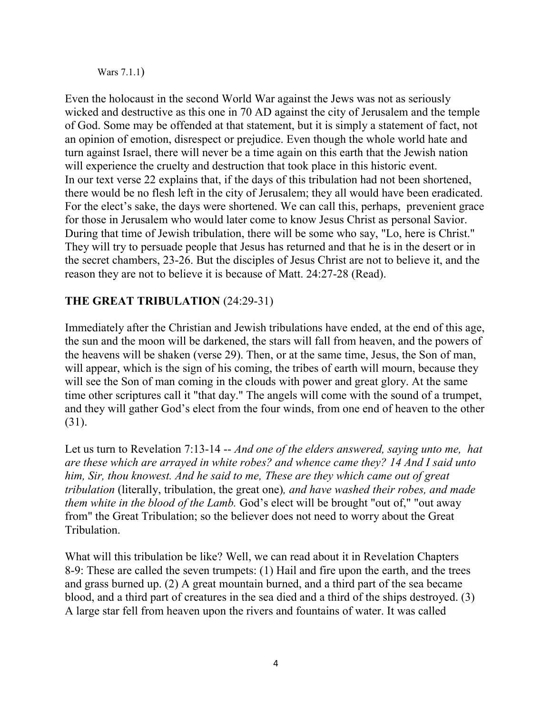Wars 7.1.1)

Even the holocaust in the second World War against the Jews was not as seriously wicked and destructive as this one in 70 AD against the city of Jerusalem and the temple of God. Some may be offended at that statement, but it is simply a statement of fact, not an opinion of emotion, disrespect or prejudice. Even though the whole world hate and turn against Israel, there will never be a time again on this earth that the Jewish nation will experience the cruelty and destruction that took place in this historic event. In our text verse 22 explains that, if the days of this tribulation had not been shortened, there would be no flesh left in the city of Jerusalem; they all would have been eradicated. For the elect's sake, the days were shortened. We can call this, perhaps, prevenient grace for those in Jerusalem who would later come to know Jesus Christ as personal Savior. During that time of Jewish tribulation, there will be some who say, "Lo, here is Christ." They will try to persuade people that Jesus has returned and that he is in the desert or in the secret chambers, 23-26. But the disciples of Jesus Christ are not to believe it, and the reason they are not to believe it is because of Matt. 24:27-28 (Read).

## THE GREAT TRIBULATION (24:29-31)

Immediately after the Christian and Jewish tribulations have ended, at the end of this age, the sun and the moon will be darkened, the stars will fall from heaven, and the powers of the heavens will be shaken (verse 29). Then, or at the same time, Jesus, the Son of man, will appear, which is the sign of his coming, the tribes of earth will mourn, because they will see the Son of man coming in the clouds with power and great glory. At the same time other scriptures call it "that day." The angels will come with the sound of a trumpet, and they will gather God's elect from the four winds, from one end of heaven to the other (31).

Let us turn to Revelation 7:13-14 -- *And one of the elders answered, saying unto me, hat are these which are arrayed in white robes? and whence came they? 14 And I said unto him, Sir, thou knowest. And he said to me, These are they which came out of great tribulation* (literally, tribulation, the great one)*, and have washed their robes, and made them white in the blood of the Lamb.* God's elect will be brought "out of," "out away from" the Great Tribulation; so the believer does not need to worry about the Great Tribulation.

What will this tribulation be like? Well, we can read about it in Revelation Chapters 8-9: These are called the seven trumpets: (1) Hail and fire upon the earth, and the trees and grass burned up. (2) A great mountain burned, and a third part of the sea became blood, and a third part of creatures in the sea died and a third of the ships destroyed. (3) A large star fell from heaven upon the rivers and fountains of water. It was called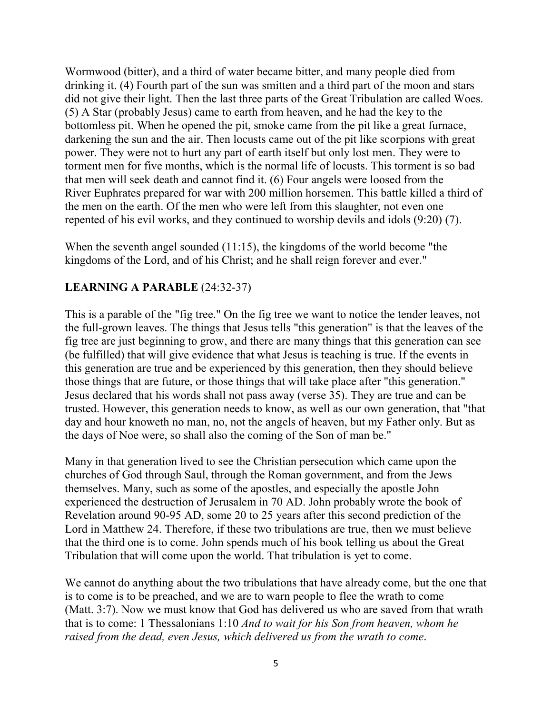Wormwood (bitter), and a third of water became bitter, and many people died from drinking it. (4) Fourth part of the sun was smitten and a third part of the moon and stars did not give their light. Then the last three parts of the Great Tribulation are called Woes. (5) A Star (probably Jesus) came to earth from heaven, and he had the key to the bottomless pit. When he opened the pit, smoke came from the pit like a great furnace, darkening the sun and the air. Then locusts came out of the pit like scorpions with great power. They were not to hurt any part of earth itself but only lost men. They were to torment men for five months, which is the normal life of locusts. This torment is so bad that men will seek death and cannot find it. (6) Four angels were loosed from the River Euphrates prepared for war with 200 million horsemen. This battle killed a third of the men on the earth. Of the men who were left from this slaughter, not even one repented of his evil works, and they continued to worship devils and idols (9:20) (7).

When the seventh angel sounded (11:15), the kingdoms of the world become "the kingdoms of the Lord, and of his Christ; and he shall reign forever and ever."

### LEARNING A PARABLE (24:32-37)

This is a parable of the "fig tree." On the fig tree we want to notice the tender leaves, not the full-grown leaves. The things that Jesus tells "this generation" is that the leaves of the fig tree are just beginning to grow, and there are many things that this generation can see (be fulfilled) that will give evidence that what Jesus is teaching is true. If the events in this generation are true and be experienced by this generation, then they should believe those things that are future, or those things that will take place after "this generation." Jesus declared that his words shall not pass away (verse 35). They are true and can be trusted. However, this generation needs to know, as well as our own generation, that "that day and hour knoweth no man, no, not the angels of heaven, but my Father only. But as the days of Noe were, so shall also the coming of the Son of man be."

Many in that generation lived to see the Christian persecution which came upon the churches of God through Saul, through the Roman government, and from the Jews themselves. Many, such as some of the apostles, and especially the apostle John experienced the destruction of Jerusalem in 70 AD. John probably wrote the book of Revelation around 90-95 AD, some 20 to 25 years after this second prediction of the Lord in Matthew 24. Therefore, if these two tribulations are true, then we must believe that the third one is to come. John spends much of his book telling us about the Great Tribulation that will come upon the world. That tribulation is yet to come.

We cannot do anything about the two tribulations that have already come, but the one that is to come is to be preached, and we are to warn people to flee the wrath to come (Matt. 3:7). Now we must know that God has delivered us who are saved from that wrath that is to come: 1 Thessalonians 1:10 *And to wait for his Son from heaven, whom he raised from the dead, even Jesus, which delivered us from the wrath to come*.